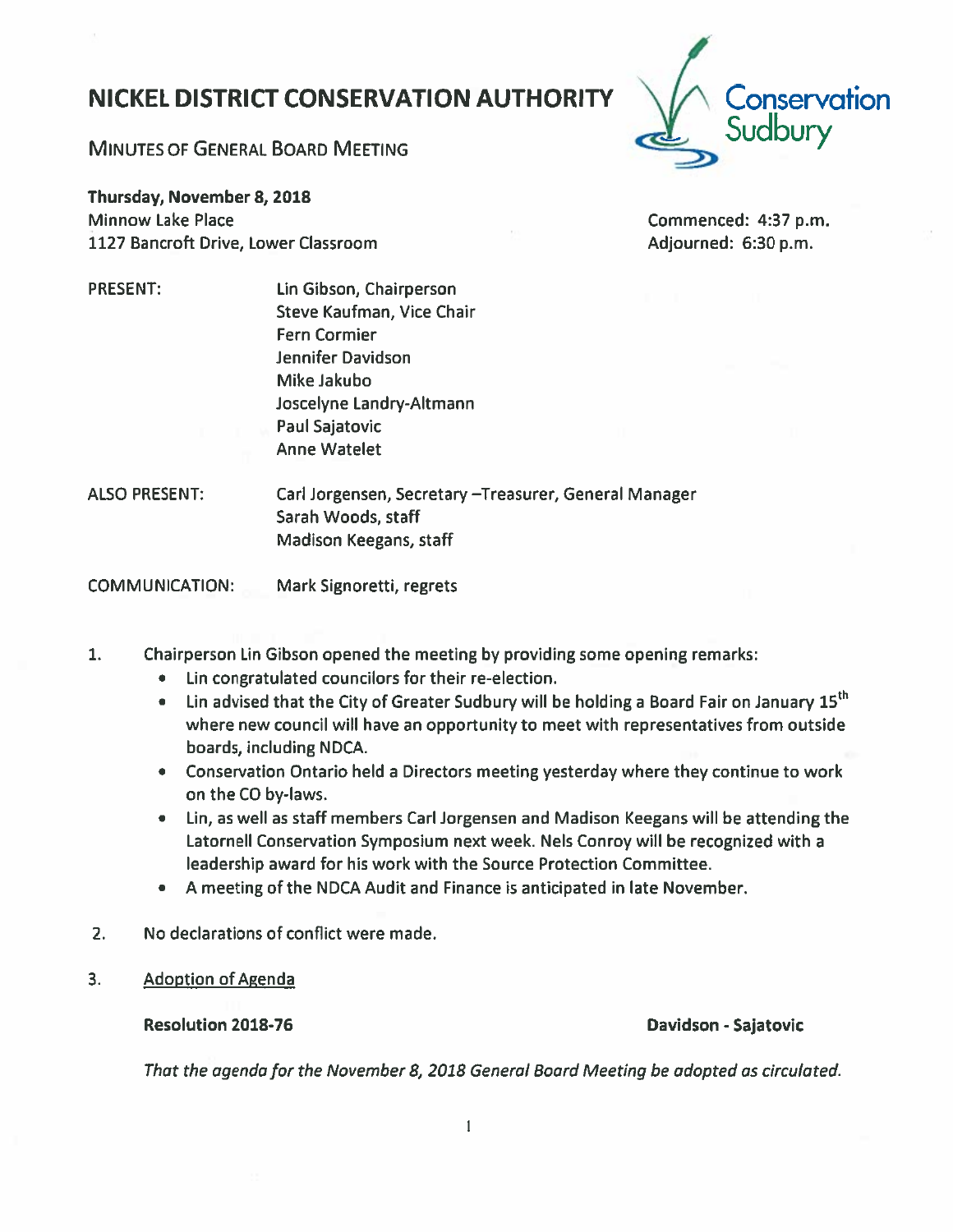### $\mathbf{1}$

# NICKEL DISTRICT CONSERVATION AUTHORITY

Lin Gibson, Chairperson Steve Kaufman, Vice Chair

Joscelyne Landry-Altmann

Fern Cormier Jennifer Davidson Mike Jakubo

Paul Sajatovic Anne Watelet

MINUTES OF GENERAL BOARD MEETING

Thursday, November 8, 2018 Minnow Lake Place 1127 Bancroft Drive, Lower Classroom

PRESENT:

Commenced: 4:37 p.m. Adiourned: 6:30 p.m.

ALSO PRESENT: Carl Jorgensen, Secretary —Treasurer, General Manager Sarah Woods, staff Madison Keegans, staff

COMMUNICATION: Mark Signoretti, regrets

- 1. Chairperson Lin Gibson opened the meeting by providing some opening remarks:
	- Lin congratulated councilors for their re-election.
	- $\bullet$   $\;$  Lin advised that the City of Greater Sudbury will be holding a Board Fair on January 15<sup>th</sup> where new council will have an opportunity to meet with representatives from outside boards, including NDCA.
	- Conservation Ontario held <sup>a</sup> Directors meeting yesterday where they continue to work on the CO by-laws.
	- Lin, as well as staff members Carl Jorgensen and Madison Keegans will be attending the Latornell Conservation Symposium next week. Nels Conroy will be recognized with <sup>a</sup> leadership award for his work with the Source Protection Committee.
	- A meeting of the NDCA Audit and Finance is anticipated in late November.
- 2. No declarations of conflict were made.
- 3. Adoption of Agenda

Resolution 2018-76

Davidson - Sajatovic

That the agenda for the November 8, 2018 General Board Meeting be adopted as circulated.

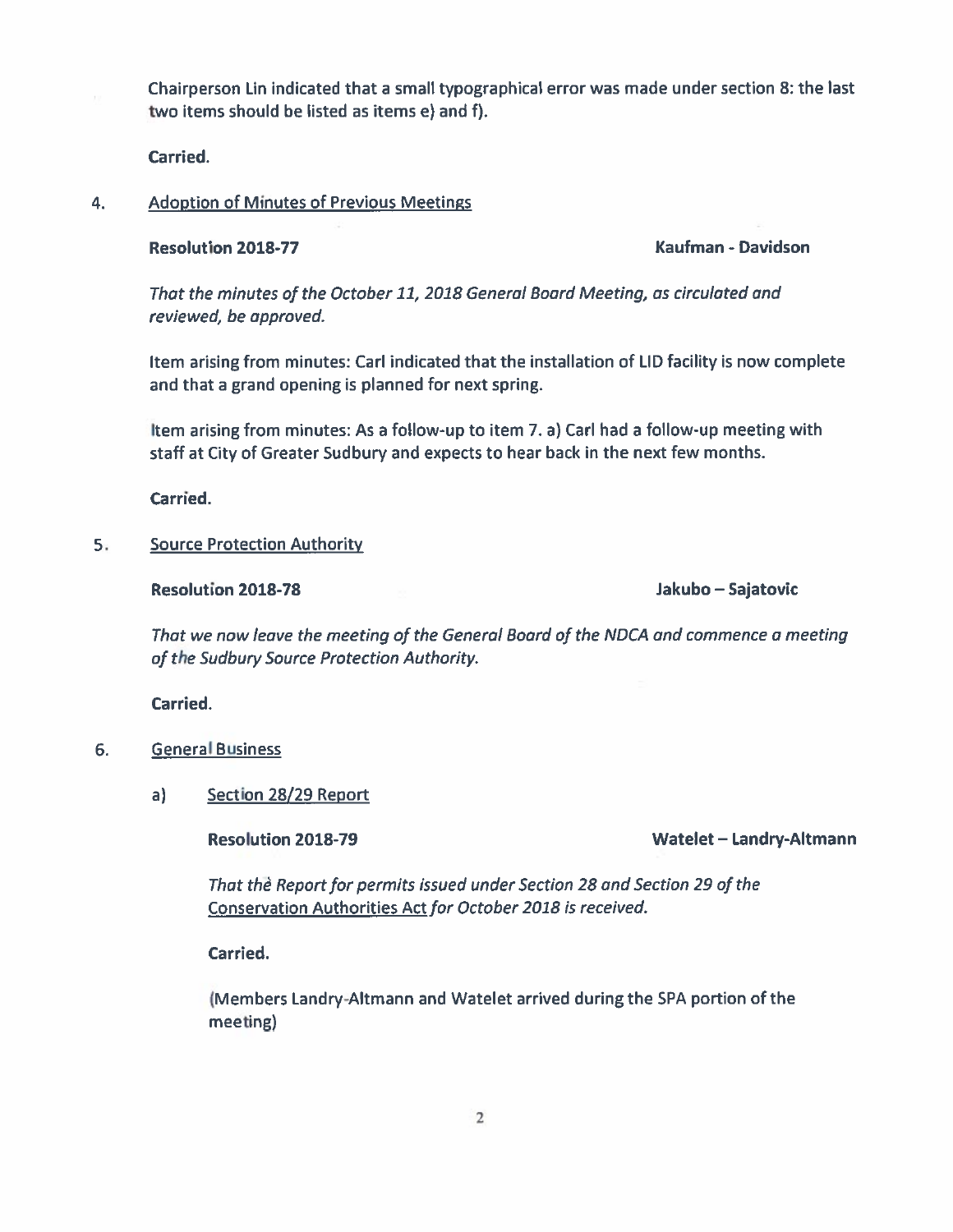Chairperson Lin indicated that <sup>a</sup> small typographical error was made under section 8: the last two items should be listed as items e) and f).

Carried.

### 4.Adoption of Minutes of Previous Meetings

### Resolution

2018-77 Kaufman - Davidson

That the minutes of the October11, 2018 General Board Meeting, as circulated and reviewed, be approved.

Item arising from minutes: Carl indicated that the installation of LID facility is now complete and that <sup>a</sup> grand opening is planned for next spring.

Item arising from minutes: As <sup>a</sup> follow-up to item 7. a) Carl had <sup>a</sup> follow-up meeting with staff at City of Greater Sudbury and expects to hear back in the next few months.

Carried.

### 5.Source Protection Authority

Resolution 2018-78 Jakubo —

Jakubo – Sajatovic

That we now leave the meeting of the General Board of the NDCA and commence <sup>a</sup> meeting of the Sudbury Source Protection Authority.

Carried.

- 6. General Business
	- a) Section 28/29 Report

Resolution 2018-79 Watelet —

Watelet - Landry-Altmann

That the Report for permits issued under Section 28 and Section 29 of the Conservation Authorities Act for October 2018 is received.

Carried.

(Members Landry-Altmann and Watelet arrived during the SPA portion of the meeting)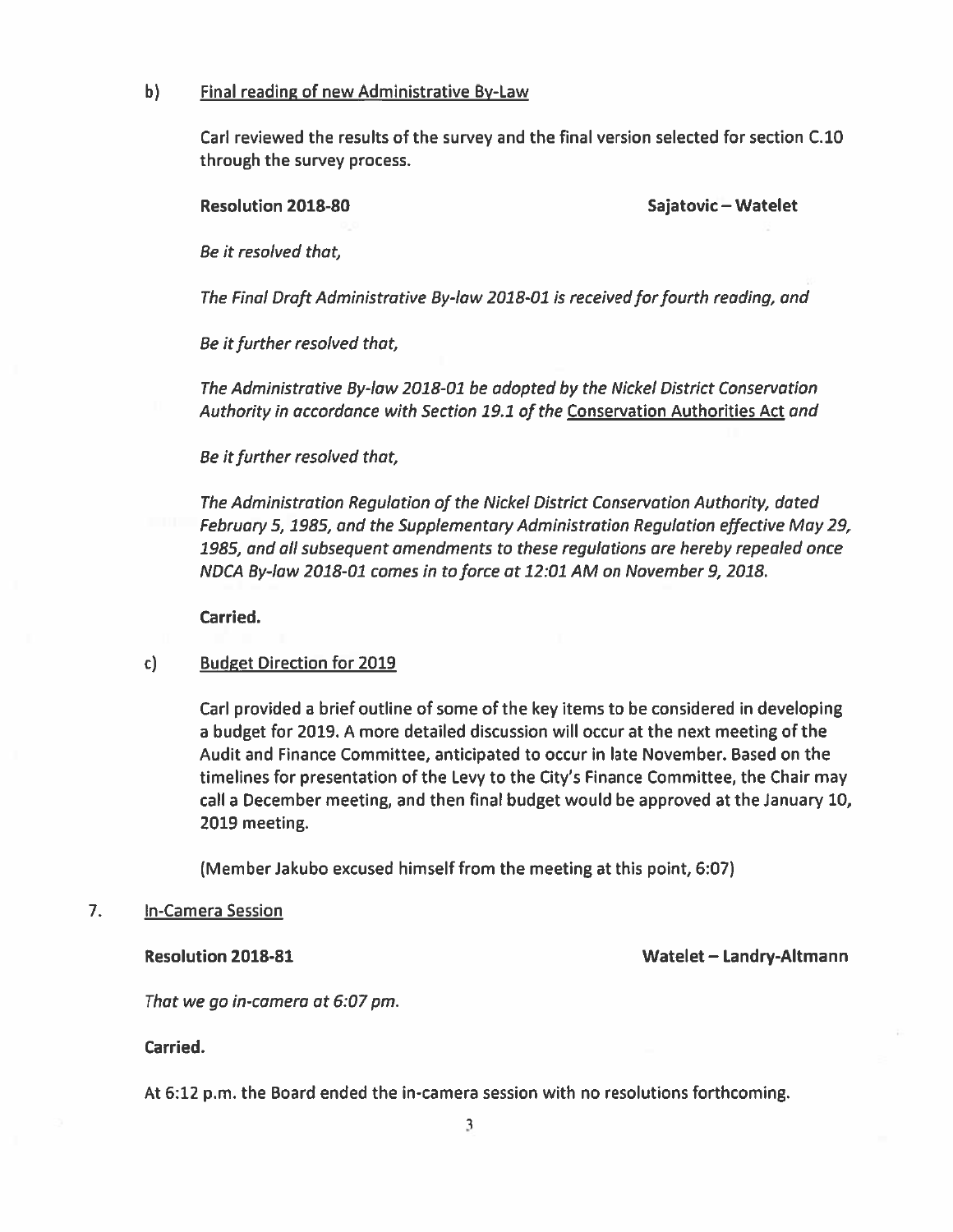### b) Final reading of new Administrative By-Law

Carl reviewed the results of the survey and the final version selected for section C.10 through the survey process.

Resolution 2018-80 Sajatovic – Watelet

Be it resolved that

The Final Draft Administrative By-law 2018-01 is received for fourth reading, and

Be it further resolved that,

The Administrative By-law 2018-01 be adopted by the Nickel District Conservation Authority in accordance with Section 19.1 of the Conservation Authorities Act and

Be it further resolved that,

The Administration Regulation of the Nickel District Conservation Autharity, dated February 5, 1985, and the Supplementary Administration Regulation effective May 29, 1985, and all subsequent amendments to these regulatians are hereby repealed once NDCA By-law 2018-01 comes in to force at 12:01 AM on November 9, 2018.

Carried.

## c) Budget Direction for 2019

Carl provided <sup>a</sup> brief outline of some of the key items to be considered in developing <sup>a</sup> budget for 2019. A more detailed discussion will occur at the next meeting of the Audit and Finance Committee, anticipated to occur in late November. Based on the timelines for presentation of the Levy to the City's Finance Committee, the Chair may call <sup>a</sup> December meeting, and then final budget would be approved at the January 10, 2019 meeting.

(Member Jakubo excused himself from the meeting at this point, 6:07)

### 7. In-Camera Session

Resolution 2018-81 Watelet — Landry-Altmann

That we go in-camera at 6:07 pm.

Carried.

At 6:12 p.m. the Board ended the in-camera session with no resolutions forthcoming.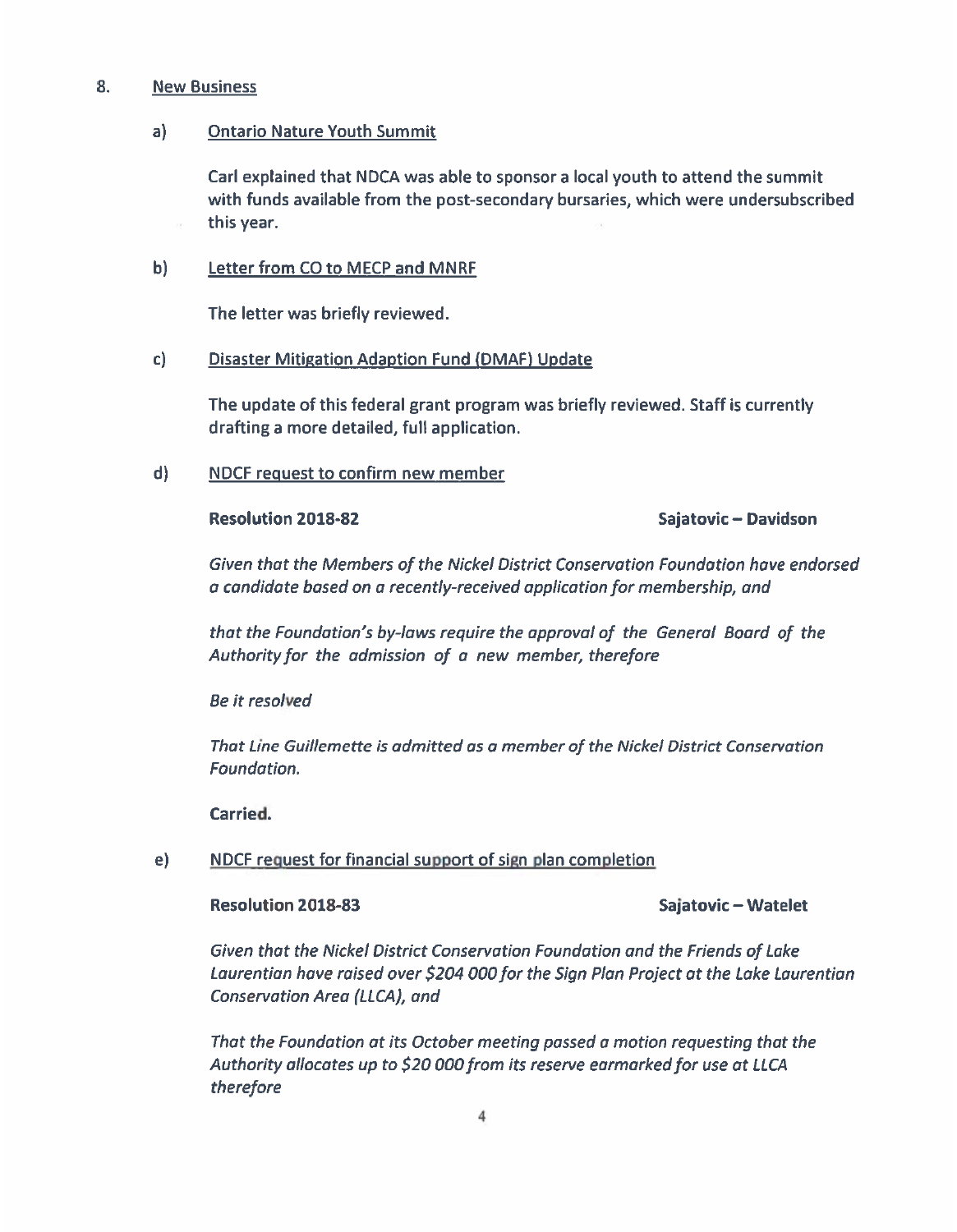### 8.New Business

### a) Ontario Nature Youth Summit

Carl explained that NDCA was able to sponsor <sup>a</sup> local youth to attend the summit with funds available from the post-secondary bursaries, which were undersubscribed this year.

## b) Letter from CO to MECP and MNRF

The letter was briefly reviewed.

## c) Disaster Mitigation Adaption Fund (DMAF) Update

The update of this federal gran<sup>t</sup> program was briefly reviewed. Staff is currently drafting <sup>a</sup> more detailed, full application.

d) NDCF reques<sup>t</sup> to confirm new member

### Resolution

## Sajatovic – Davidson

Given that the Members of the Nickel District Conservation Foundation hove endorsed a condidate based on <sup>a</sup> recently-received application for membership, and

that the Foundation's by-laws require the approval of the General Board of the Authority for the admission of <sup>a</sup> new member, therefore

Be it resolved

That Line Guillemette is admitted as <sup>a</sup> member of the Nickel District Conservation Foundation.

Carried.

# e) NDCF reques<sup>t</sup> for financial suppor<sup>t</sup> of sign plan completion

### Resolution

## Sajatovic – Watelet

Given that the Nickel District Conservation Foundation and the Friends of Lake Laurentian have raised over \$204 000 for the Sign Plan Project at the Lake Laurentian Conservation Area (LLCA), and

That the Foundation at its October meeting passed <sup>a</sup> motion requesting that the Authority allocates up to \$20 000 from its reserve earmarked for use at LLCA therefore